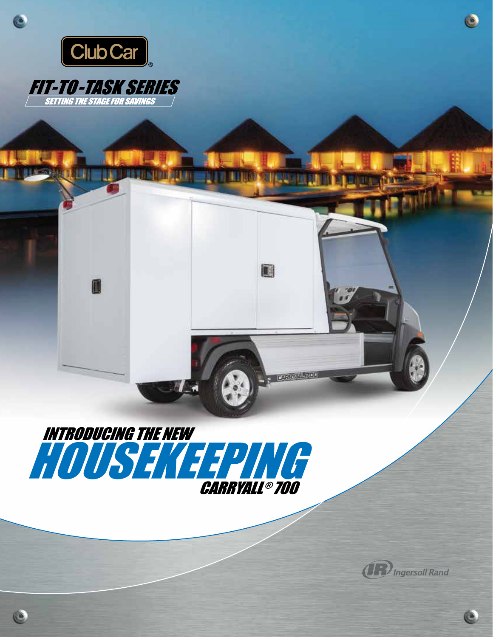

Ċ

## **FIT-TO-TASK SERIES**

 $\blacksquare$ 



DZM.

**ELL** 

圖



G

 $\bullet$